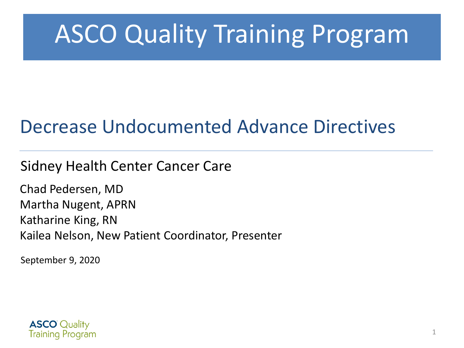# ASCO Quality Training Program

#### Decrease Undocumented Advance Directives

#### Sidney Health Center Cancer Care

Chad Pedersen, MD Martha Nugent, APRN Katharine King, RN Kailea Nelson, New Patient Coordinator, Presenter

September 9, 2020

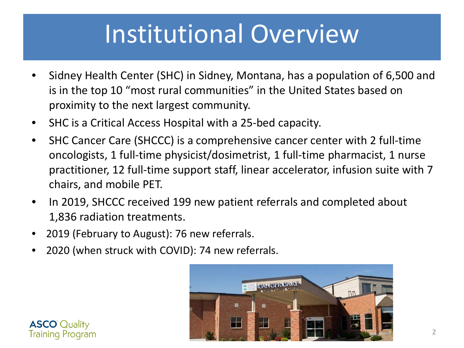# Institutional Overview

- Sidney Health Center (SHC) in Sidney, Montana, has a population of 6,500 and is in the top 10 "most rural communities" in the United States based on proximity to the next largest community.
- SHC is a Critical Access Hospital with a 25-bed capacity.
- SHC Cancer Care (SHCCC) is a comprehensive cancer center with 2 full-time oncologists, 1 full-time physicist/dosimetrist, 1 full-time pharmacist, 1 nurse practitioner, 12 full-time support staff, linear accelerator, infusion suite with 7 chairs, and mobile PET.
- In 2019, SHCCC received 199 new patient referrals and completed about 1,836 radiation treatments.
- 2019 (February to August): 76 new referrals.
- 2020 (when struck with COVID): 74 new referrals.



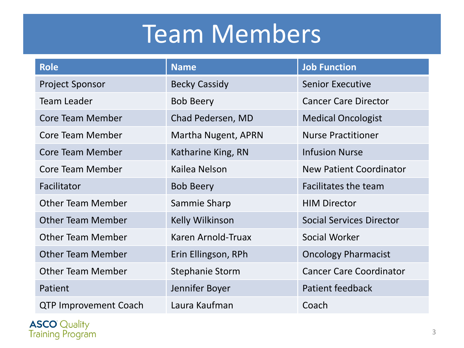# Team Members

| <b>Role</b>                  | <b>Name</b>            | <b>Job Function</b>             |
|------------------------------|------------------------|---------------------------------|
| <b>Project Sponsor</b>       | <b>Becky Cassidy</b>   | <b>Senior Executive</b>         |
| <b>Team Leader</b>           | <b>Bob Beery</b>       | <b>Cancer Care Director</b>     |
| <b>Core Team Member</b>      | Chad Pedersen, MD      | <b>Medical Oncologist</b>       |
| Core Team Member             | Martha Nugent, APRN    | <b>Nurse Practitioner</b>       |
| Core Team Member             | Katharine King, RN     | <b>Infusion Nurse</b>           |
| Core Team Member             | Kailea Nelson          | <b>New Patient Coordinator</b>  |
| Facilitator                  | <b>Bob Beery</b>       | Facilitates the team            |
| <b>Other Team Member</b>     | Sammie Sharp           | <b>HIM Director</b>             |
| <b>Other Team Member</b>     | Kelly Wilkinson        | <b>Social Services Director</b> |
| <b>Other Team Member</b>     | Karen Arnold-Truax     | Social Worker                   |
| <b>Other Team Member</b>     | Erin Ellingson, RPh    | <b>Oncology Pharmacist</b>      |
| <b>Other Team Member</b>     | <b>Stephanie Storm</b> | <b>Cancer Care Coordinator</b>  |
| Patient                      | Jennifer Boyer         | Patient feedback                |
| <b>QTP Improvement Coach</b> | Laura Kaufman          | Coach                           |

**ASCO**<sup>'</sup> Quality<br>Training Program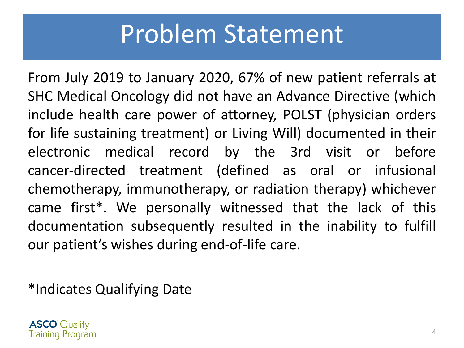## Problem Statement

From July 2019 to January 2020, 67% of new patient referrals at SHC Medical Oncology did not have an Advance Directive (which include health care power of attorney, POLST (physician orders for life sustaining treatment) or Living Will) documented in their electronic medical record by the 3rd visit or before cancer-directed treatment (defined as oral or infusional chemotherapy, immunotherapy, or radiation therapy) whichever came first\*. We personally witnessed that the lack of this documentation subsequently resulted in the inability to fulfill our patient's wishes during end-of-life care.

\*Indicates Qualifying Date

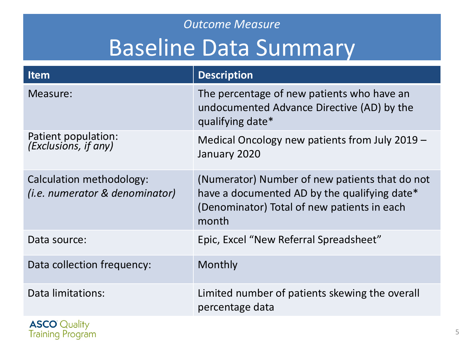## *Outcome Measure* Baseline Data Summary

| Item                                                               | <b>Description</b>                                                                                                                                     |
|--------------------------------------------------------------------|--------------------------------------------------------------------------------------------------------------------------------------------------------|
| Measure:                                                           | The percentage of new patients who have an<br>undocumented Advance Directive (AD) by the<br>qualifying date*                                           |
| Patient population:<br>(Exclusions, if any)                        | Medical Oncology new patients from July 2019 -<br>January 2020                                                                                         |
| Calculation methodology:<br>( <i>i.e.</i> numerator & denominator) | (Numerator) Number of new patients that do not<br>have a documented AD by the qualifying date*<br>(Denominator) Total of new patients in each<br>month |
| Data source:                                                       | Epic, Excel "New Referral Spreadsheet"                                                                                                                 |
| Data collection frequency:                                         | Monthly                                                                                                                                                |
| Data limitations:                                                  | Limited number of patients skewing the overall<br>percentage data                                                                                      |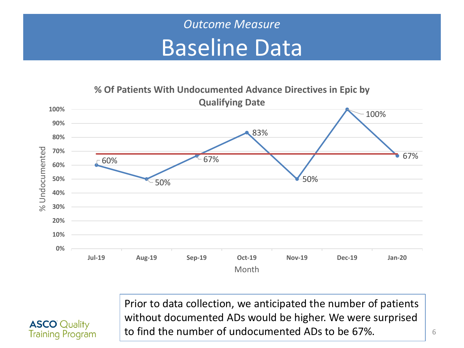#### *Outcome Measure* Baseline Data



**ASCO** Quality **Training Program**  Prior to data collection, we anticipated the number of patients without documented ADs would be higher. We were surprised to find the number of undocumented ADs to be 67%.

6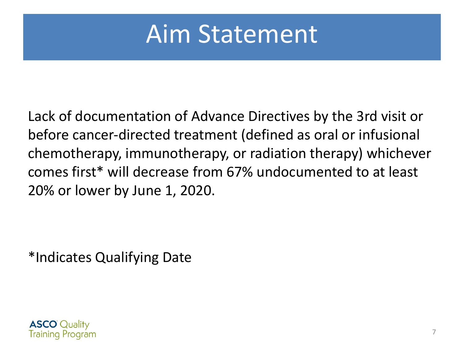## Aim Statement

Lack of documentation of Advance Directives by the 3rd visit or before cancer-directed treatment (defined as oral or infusional chemotherapy, immunotherapy, or radiation therapy) whichever comes first\* will decrease from 67% undocumented to at least 20% or lower by June 1, 2020.

\*Indicates Qualifying Date

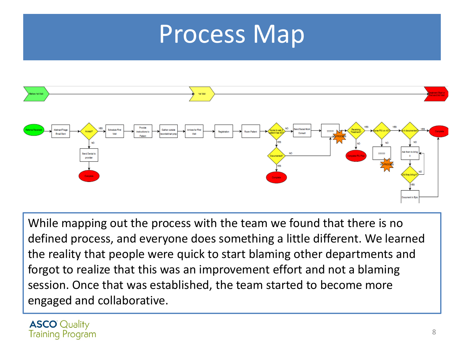## Process Map



While mapping out the process with the team we found that there is no defined process, and everyone does something a little different. We learned the reality that people were quick to start blaming other departments and forgot to realize that this was an improvement effort and not a blaming session. Once that was established, the team started to become more engaged and collaborative.

**ASCO** Quality **Training Program**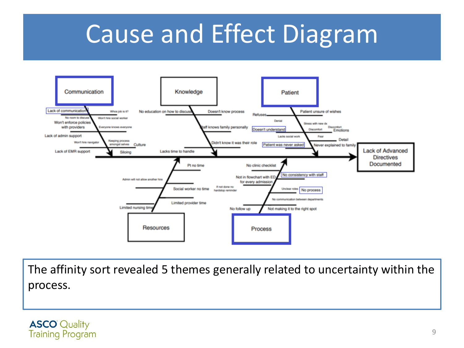## Cause and Effect Diagram



The affinity sort revealed 5 themes generally related to uncertainty within the process.

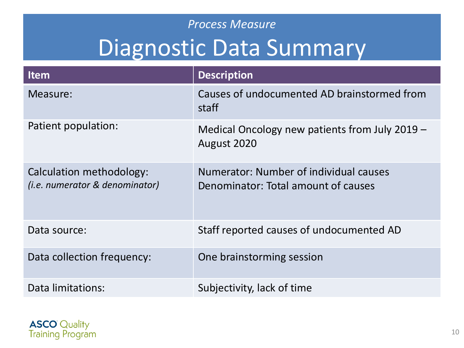## *Process Measure* Diagnostic Data Summary

| <b>Item</b>                                                | <b>Description</b>                                                            |
|------------------------------------------------------------|-------------------------------------------------------------------------------|
| Measure:                                                   | Causes of undocumented AD brainstormed from<br>staff                          |
| Patient population:                                        | Medical Oncology new patients from July 2019 -<br>August 2020                 |
| Calculation methodology:<br>(i.e. numerator & denominator) | Numerator: Number of individual causes<br>Denominator: Total amount of causes |
| Data source:                                               | Staff reported causes of undocumented AD                                      |
| Data collection frequency:                                 | One brainstorming session                                                     |
| Data limitations:                                          | Subjectivity, lack of time                                                    |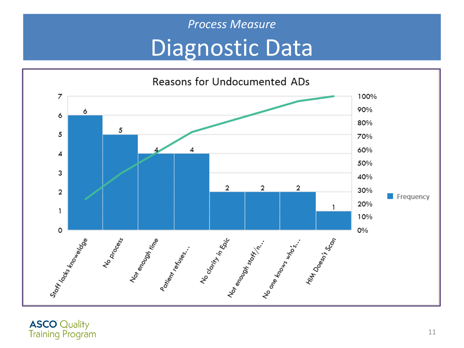### *Process Measure* Diagnostic Data



**ASCO**<sup>O</sup> Quality<br>Training Program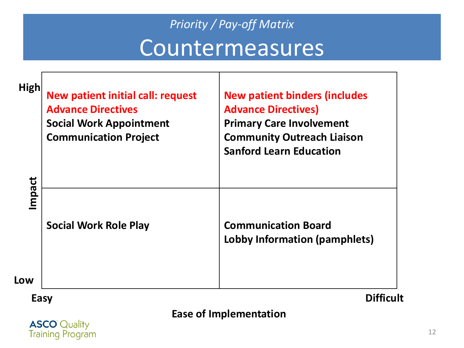## *Priority / Pay-off Matrix* Countermeasures

Т

| <b>High</b> | <b>New patient initial call: request</b><br><b>Advance Directives</b><br><b>Social Work Appointment</b><br><b>Communication Project</b> | <b>New patient binders (includes</b><br><b>Advance Directives)</b><br><b>Primary Care Involvement</b><br><b>Community Outreach Liaison</b><br><b>Sanford Learn Education</b> |
|-------------|-----------------------------------------------------------------------------------------------------------------------------------------|------------------------------------------------------------------------------------------------------------------------------------------------------------------------------|
| Impact      | <b>Social Work Role Play</b>                                                                                                            | <b>Communication Board</b><br>Lobby Information (pamphlets)                                                                                                                  |
| Low         |                                                                                                                                         |                                                                                                                                                                              |
| Easy        |                                                                                                                                         |                                                                                                                                                                              |

#### **Ease of Implementation**

**ASCO**<sup>O</sup> Quality<br>Training Program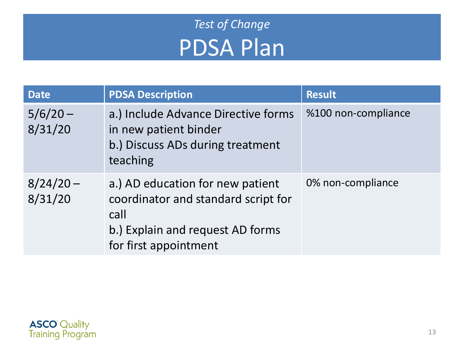### *Test of Change* PDSA Plan

| <b>Date</b>            | <b>PDSA Description</b>                                                                                                                      | <b>Result</b>       |
|------------------------|----------------------------------------------------------------------------------------------------------------------------------------------|---------------------|
| $5/6/20 -$<br>8/31/20  | a.) Include Advance Directive forms<br>in new patient binder<br>b.) Discuss ADs during treatment<br>teaching                                 | %100 non-compliance |
| $8/24/20 -$<br>8/31/20 | a.) AD education for new patient<br>coordinator and standard script for<br>call<br>b.) Explain and request AD forms<br>for first appointment | 0% non-compliance   |

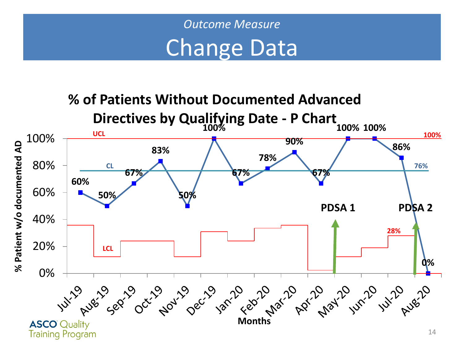

**% of Patients Without Documented Advanced Directives by Qualifying Date - P Chart 100% 100% 100% UCL 100%** 100% **90%** % Patient w/o documented AD **% Patient w/o documented AD 86% 83% 78%** 80% **CL 76% 67% 67% 67% 60%** 60% **50% 50% PDSA 1 PDSA 2**40% **28%** 20% **LCL 0%** 0% Yukity Russing Get to be to take that Apath Jukito Russing **ASCO** Quality **Training Program**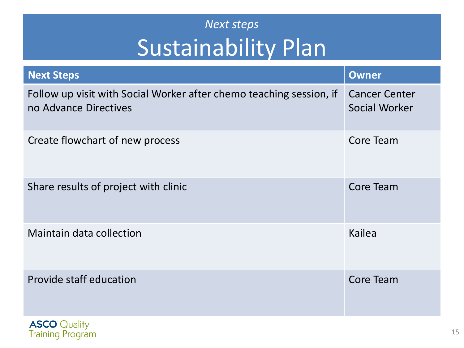### *Next steps* Sustainability Plan

| <b>Next Steps</b>                                                                            | <b>Owner</b>                          |
|----------------------------------------------------------------------------------------------|---------------------------------------|
| Follow up visit with Social Worker after chemo teaching session, if<br>no Advance Directives | <b>Cancer Center</b><br>Social Worker |
| Create flowchart of new process                                                              | Core Team                             |
| Share results of project with clinic                                                         | <b>Core Team</b>                      |
| <b>Maintain data collection</b>                                                              | Kailea                                |
| Provide staff education                                                                      | Core Team                             |

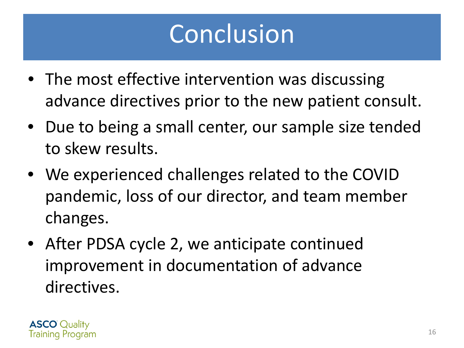# Conclusion

- The most effective intervention was discussing advance directives prior to the new patient consult.
- Due to being a small center, our sample size tended to skew results.
- We experienced challenges related to the COVID pandemic, loss of our director, and team member changes.
- After PDSA cycle 2, we anticipate continued improvement in documentation of advance directives.